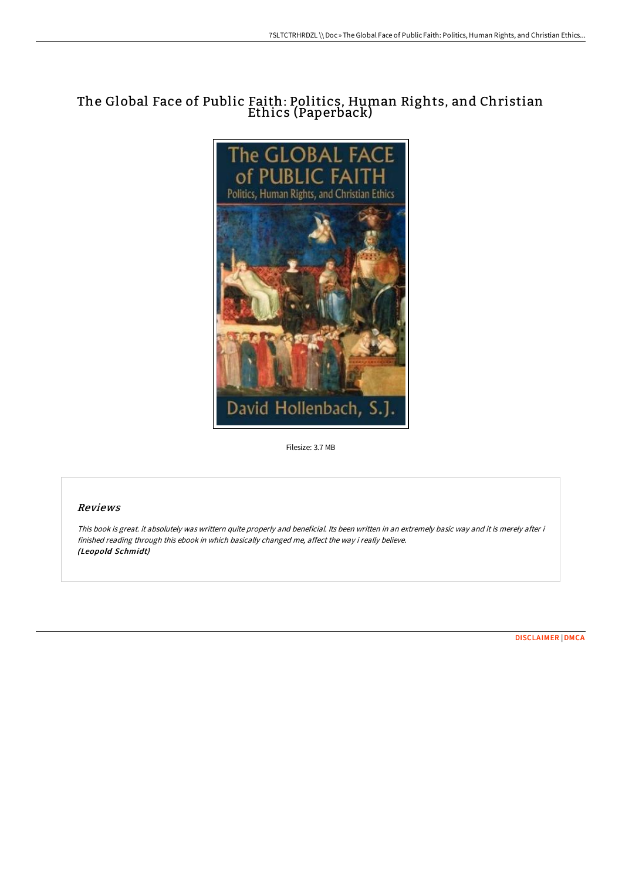# The Global Face of Public Faith: Politics, Human Rights, and Christian Ethics (Paperback)



Filesize: 3.7 MB

## Reviews

This book is great. it absolutely was writtern quite properly and beneficial. Its been written in an extremely basic way and it is merely after i finished reading through this ebook in which basically changed me, affect the way i really believe. (Leopold Schmidt)

[DISCLAIMER](http://techno-pub.tech/disclaimer.html) | [DMCA](http://techno-pub.tech/dmca.html)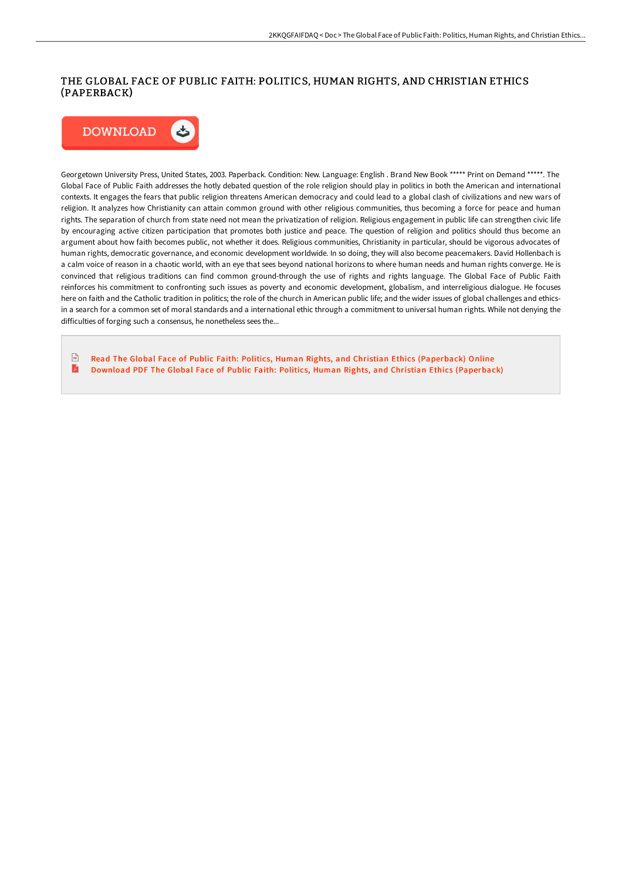## THE GLOBAL FACE OF PUBLIC FAITH: POLITICS, HUMAN RIGHTS, AND CHRISTIAN ETHICS (PAPERBACK)



Georgetown University Press, United States, 2003. Paperback. Condition: New. Language: English . Brand New Book \*\*\*\*\* Print on Demand \*\*\*\*\*. The Global Face of Public Faith addresses the hotly debated question of the role religion should play in politics in both the American and international contexts. It engages the fears that public religion threatens American democracy and could lead to a global clash of civilizations and new wars of religion. It analyzes how Christianity can attain common ground with other religious communities, thus becoming a force for peace and human rights. The separation of church from state need not mean the privatization of religion. Religious engagement in public life can strengthen civic life by encouraging active citizen participation that promotes both justice and peace. The question of religion and politics should thus become an argument about how faith becomes public, not whether it does. Religious communities, Christianity in particular, should be vigorous advocates of human rights, democratic governance, and economic development worldwide. In so doing, they will also become peacemakers. David Hollenbach is a calm voice of reason in a chaotic world, with an eye that sees beyond national horizons to where human needs and human rights converge. He is convinced that religious traditions can find common ground-through the use of rights and rights language. The Global Face of Public Faith reinforces his commitment to confronting such issues as poverty and economic development, globalism, and interreligious dialogue. He focuses here on faith and the Catholic tradition in politics; the role of the church in American public life; and the wider issues of global challenges and ethicsin a search for a common set of moral standards and a international ethic through a commitment to universal human rights. While not denying the difficulties of forging such a consensus, he nonetheless sees the...

Read The Global Face of Public Faith: Politics, Human Rights, and Christian Ethics [\(Paperback\)](http://techno-pub.tech/the-global-face-of-public-faith-politics-human-r.html) Online  $\sqrt{n}$ A Download PDF The Global Face of Public Faith: Politics, Human Rights, and Christian Ethics [\(Paperback\)](http://techno-pub.tech/the-global-face-of-public-faith-politics-human-r.html)